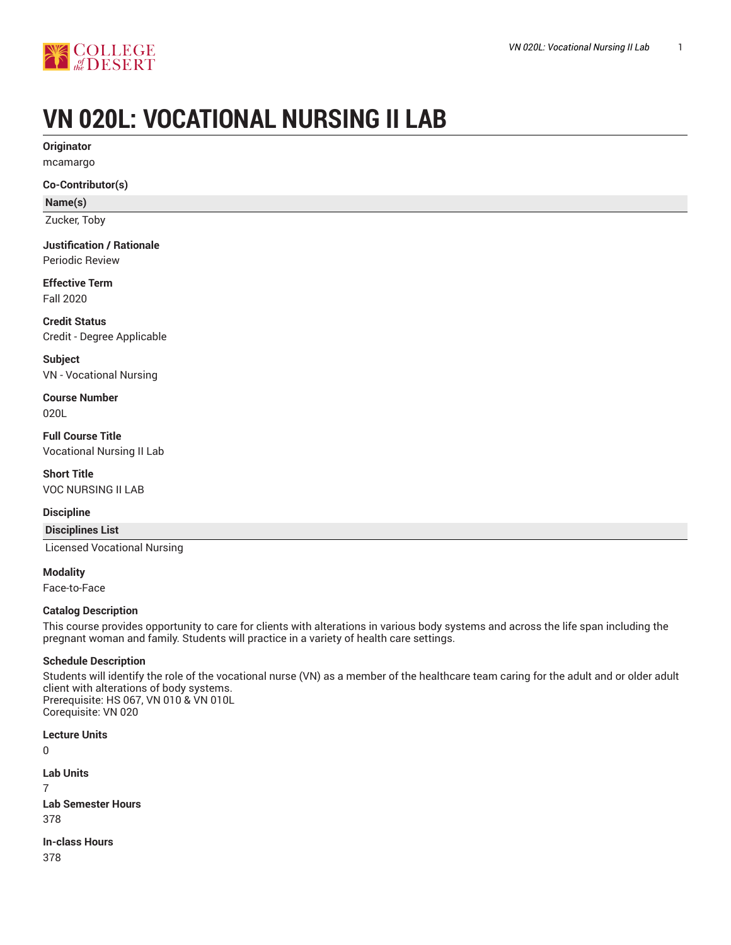

# **VN 020L: VOCATIONAL NURSING II LAB**

**Originator** mcamargo

#### **Co-Contributor(s)**

**Name(s)**

Zucker, Toby

# **Justification / Rationale**

Periodic Review

#### **Effective Term** Fall 2020

**Credit Status** Credit - Degree Applicable

**Subject** VN - Vocational Nursing

**Course Number** 020L

**Full Course Title** Vocational Nursing II Lab

**Short Title** VOC NURSING II LAB

#### **Discipline**

**Disciplines List**

Licensed Vocational Nursing

**Modality** Face-to-Face

#### **Catalog Description**

This course provides opportunity to care for clients with alterations in various body systems and across the life span including the pregnant woman and family. Students will practice in a variety of health care settings.

#### **Schedule Description**

Students will identify the role of the vocational nurse (VN) as a member of the healthcare team caring for the adult and or older adult client with alterations of body systems. Prerequisite: HS 067, VN 010 & VN 010L Corequisite: VN 020

#### **Lecture Units**

0

**Lab Units** 7 **Lab Semester Hours** 378

**In-class Hours** 378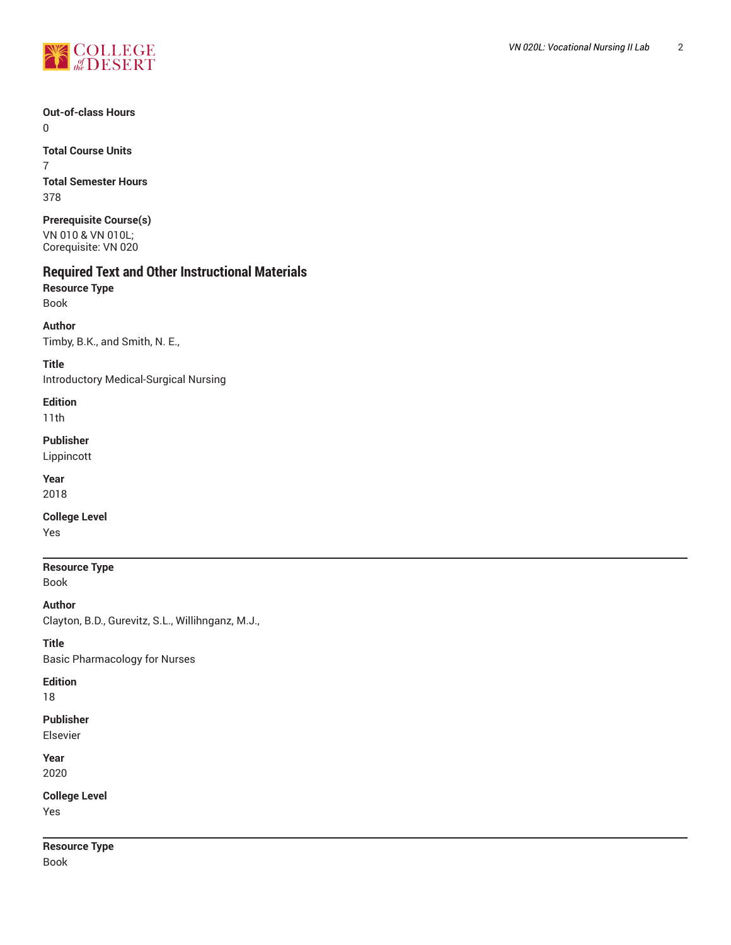

**Out-of-class Hours**  $\Omega$ 

**Total Course Units** 7 **Total Semester Hours** 378

**Prerequisite Course(s)** VN 010 & VN 010L; Corequisite: VN 020

# **Required Text and Other Instructional Materials**

**Resource Type** Book

**Author** Timby, B.K., and Smith, N. E.,

**Title** Introductory Medical-Surgical Nursing

**Edition** 11th

**Publisher** Lippincott

**Year**

2018

**College Level**

Yes

**Resource Type** Book

**Author** Clayton, B.D., Gurevitz, S.L., Willihnganz, M.J.,

**Title** Basic Pharmacology for Nurses

**Edition**

18

**Publisher**

Elsevier

**Year** 2020

**College Level** Yes

**Resource Type** Book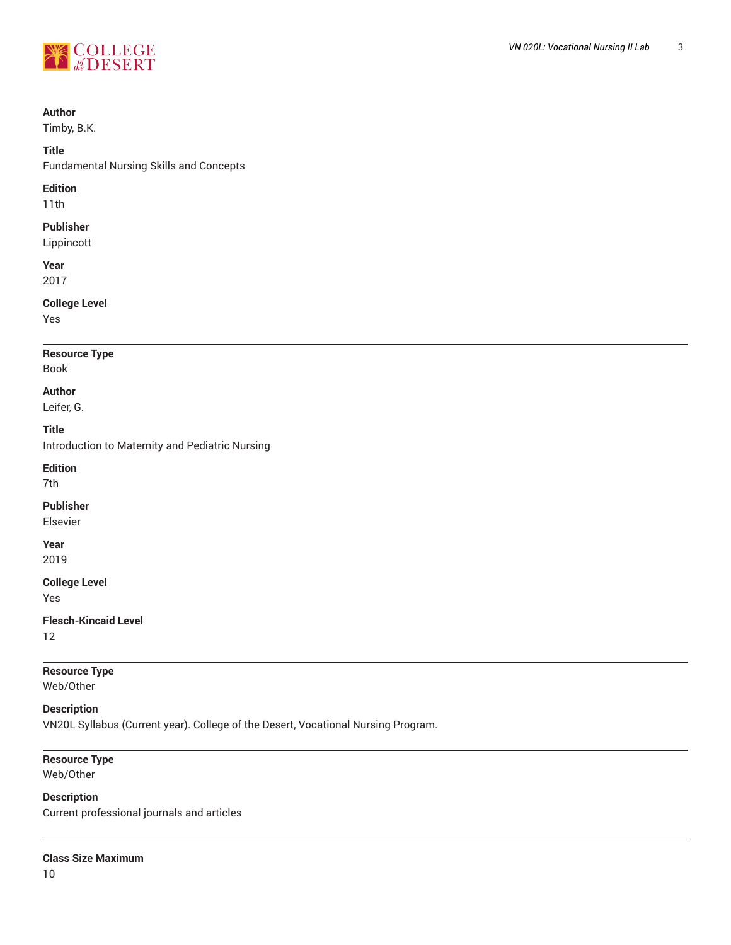

#### **Author**

Timby, B.K.

#### **Title**

Fundamental Nursing Skills and Concepts

#### **Edition**

11th

### **Publisher**

Lippincott

**Year** 2017

#### **College Level**

Yes

## **Resource Type**

# Book

**Author**

Leifer, G.

#### **Title**

Introduction to Maternity and Pediatric Nursing

**Edition**

7th

#### **Publisher**

Elsevier

# **Year**

2019

#### **College Level**

Yes

#### **Flesch-Kincaid Level**

12

# **Resource Type**

Web/Other

### **Description**

VN20L Syllabus (Current year). College of the Desert, Vocational Nursing Program.

# **Resource Type**

Web/Other

### **Description**

Current professional journals and articles

#### **Class Size Maximum**

10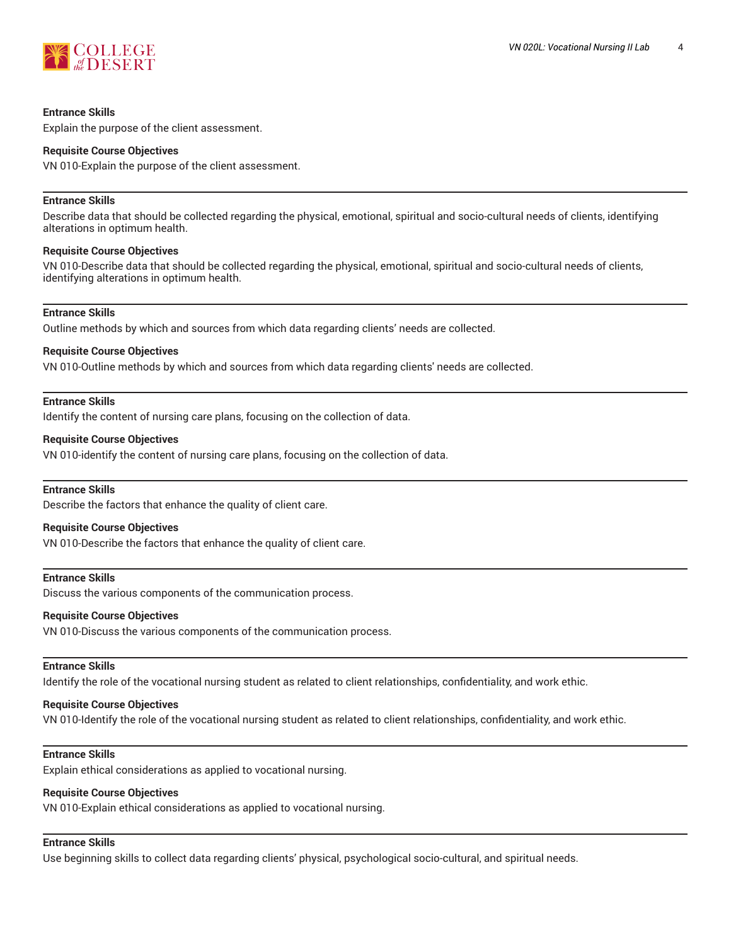

#### **Entrance Skills**

Explain the purpose of the client assessment.

#### **Requisite Course Objectives**

VN 010-Explain the purpose of the client assessment.

#### **Entrance Skills**

Describe data that should be collected regarding the physical, emotional, spiritual and socio-cultural needs of clients, identifying alterations in optimum health.

#### **Requisite Course Objectives**

VN 010-Describe data that should be collected regarding the physical, emotional, spiritual and socio-cultural needs of clients, identifying alterations in optimum health.

#### **Entrance Skills**

Outline methods by which and sources from which data regarding clients' needs are collected.

#### **Requisite Course Objectives**

VN 010-Outline methods by which and sources from which data regarding clients' needs are collected.

#### **Entrance Skills**

Identify the content of nursing care plans, focusing on the collection of data.

#### **Requisite Course Objectives**

VN 010-identify the content of nursing care plans, focusing on the collection of data.

#### **Entrance Skills**

Describe the factors that enhance the quality of client care.

#### **Requisite Course Objectives**

VN 010-Describe the factors that enhance the quality of client care.

#### **Entrance Skills**

Discuss the various components of the communication process.

#### **Requisite Course Objectives**

VN 010-Discuss the various components of the communication process.

#### **Entrance Skills**

Identify the role of the vocational nursing student as related to client relationships, confidentiality, and work ethic.

#### **Requisite Course Objectives**

VN 010-Identify the role of the vocational nursing student as related to client relationships, confidentiality, and work ethic.

#### **Entrance Skills**

Explain ethical considerations as applied to vocational nursing.

#### **Requisite Course Objectives**

VN 010-Explain ethical considerations as applied to vocational nursing.

#### **Entrance Skills**

Use beginning skills to collect data regarding clients' physical, psychological socio-cultural, and spiritual needs.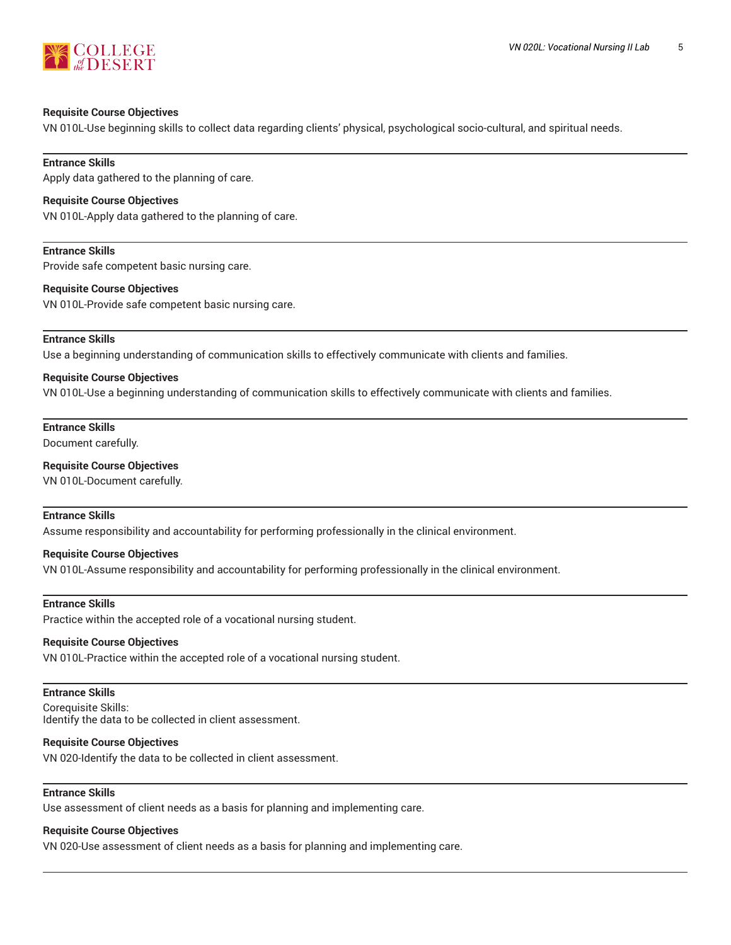

#### **Requisite Course Objectives**

VN 010L-Use beginning skills to collect data regarding clients' physical, psychological socio-cultural, and spiritual needs.

**Entrance Skills** Apply data gathered to the planning of care.

#### **Requisite Course Objectives**

VN 010L-Apply data gathered to the planning of care.

**Entrance Skills** Provide safe competent basic nursing care.

#### **Requisite Course Objectives**

VN 010L-Provide safe competent basic nursing care.

#### **Entrance Skills**

Use a beginning understanding of communication skills to effectively communicate with clients and families.

#### **Requisite Course Objectives**

VN 010L-Use a beginning understanding of communication skills to effectively communicate with clients and families.

#### **Entrance Skills**

Document carefully.

#### **Requisite Course Objectives**

VN 010L-Document carefully.

#### **Entrance Skills**

Assume responsibility and accountability for performing professionally in the clinical environment.

#### **Requisite Course Objectives**

VN 010L-Assume responsibility and accountability for performing professionally in the clinical environment.

#### **Entrance Skills**

Practice within the accepted role of a vocational nursing student.

#### **Requisite Course Objectives**

VN 010L-Practice within the accepted role of a vocational nursing student.

#### **Entrance Skills**

Corequisite Skills: Identify the data to be collected in client assessment.

#### **Requisite Course Objectives**

VN 020-Identify the data to be collected in client assessment.

#### **Entrance Skills**

Use assessment of client needs as a basis for planning and implementing care.

#### **Requisite Course Objectives**

VN 020-Use assessment of client needs as a basis for planning and implementing care.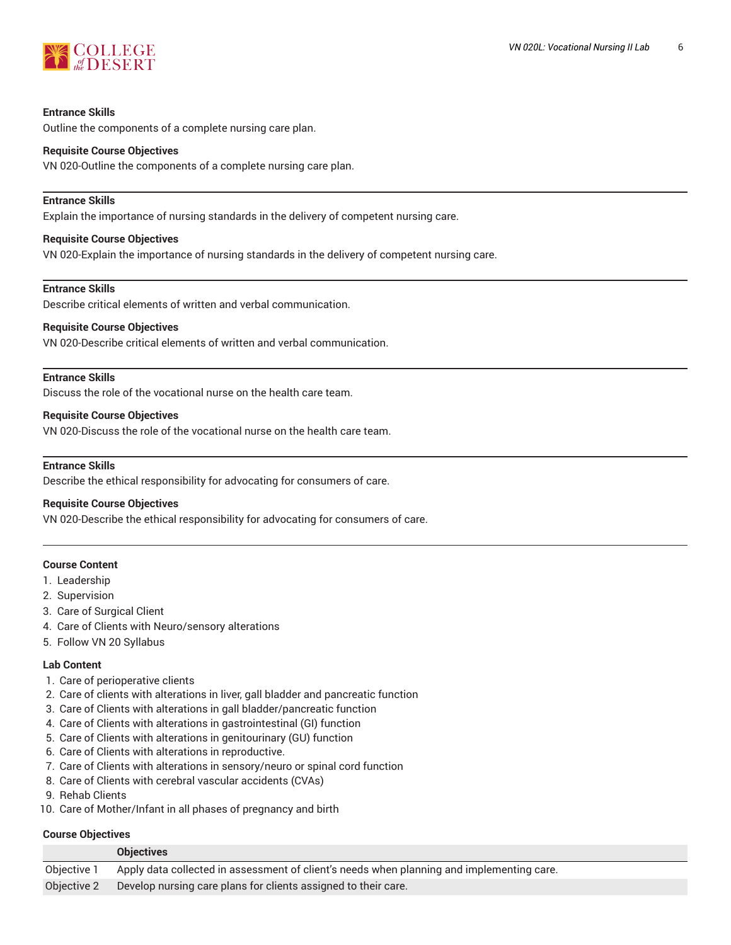

#### **Entrance Skills**

Outline the components of a complete nursing care plan.

#### **Requisite Course Objectives**

VN 020-Outline the components of a complete nursing care plan.

#### **Entrance Skills**

Explain the importance of nursing standards in the delivery of competent nursing care.

#### **Requisite Course Objectives**

VN 020-Explain the importance of nursing standards in the delivery of competent nursing care.

#### **Entrance Skills**

Describe critical elements of written and verbal communication.

#### **Requisite Course Objectives**

VN 020-Describe critical elements of written and verbal communication.

#### **Entrance Skills**

Discuss the role of the vocational nurse on the health care team.

#### **Requisite Course Objectives**

VN 020-Discuss the role of the vocational nurse on the health care team.

#### **Entrance Skills**

Describe the ethical responsibility for advocating for consumers of care.

#### **Requisite Course Objectives**

VN 020-Describe the ethical responsibility for advocating for consumers of care.

#### **Course Content**

- 1. Leadership
- 2. Supervision
- 3. Care of Surgical Client
- 4. Care of Clients with Neuro/sensory alterations
- 5. Follow VN 20 Syllabus

#### **Lab Content**

- 1. Care of perioperative clients
- 2. Care of clients with alterations in liver, gall bladder and pancreatic function
- 3. Care of Clients with alterations in gall bladder/pancreatic function
- 4. Care of Clients with alterations in gastrointestinal (GI) function
- 5. Care of Clients with alterations in genitourinary (GU) function
- 6. Care of Clients with alterations in reproductive.
- 7. Care of Clients with alterations in sensory/neuro or spinal cord function
- 8. Care of Clients with cerebral vascular accidents (CVAs)
- 9. Rehab Clients
- 10. Care of Mother/Infant in all phases of pregnancy and birth

#### **Course Objectives**

|             | <b>Objectives</b>                                                                         |
|-------------|-------------------------------------------------------------------------------------------|
| Objective 1 | Apply data collected in assessment of client's needs when planning and implementing care. |
| Objective 2 | Develop nursing care plans for clients assigned to their care.                            |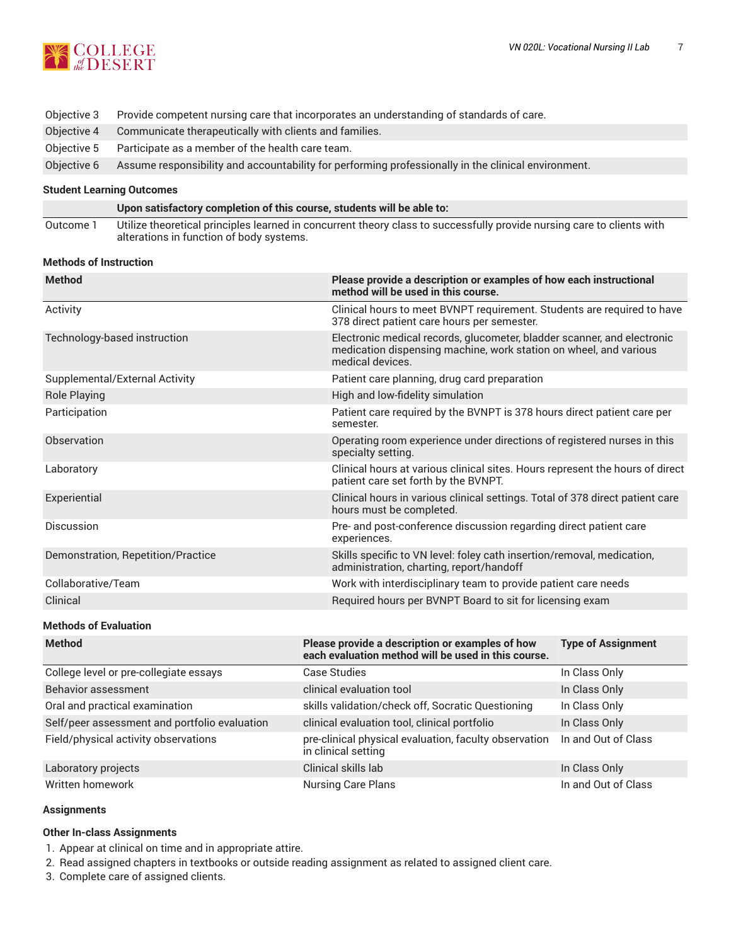

| Objective 3 | Provide competent nursing care that incorporates an understanding of standards of care.             |
|-------------|-----------------------------------------------------------------------------------------------------|
| Objective 4 | Communicate therapeutically with clients and families.                                              |
| Obiective 5 | Participate as a member of the health care team.                                                    |
| Obiective 6 | Assume responsibility and accountability for performing professionally in the clinical environment. |

#### **Student Learning Outcomes**

|           | Upon satisfactory completion of this course, students will be able to:                                                                                             |
|-----------|--------------------------------------------------------------------------------------------------------------------------------------------------------------------|
| Outcome 1 | Utilize theoretical principles learned in concurrent theory class to successfully provide nursing care to clients with<br>alterations in function of body systems. |

#### **Methods of Instruction**

| <b>Method</b>                      | Please provide a description or examples of how each instructional<br>method will be used in this course                                                         |
|------------------------------------|------------------------------------------------------------------------------------------------------------------------------------------------------------------|
| Activity                           | Clinical hours to meet BVNPT requirement. Students are required to have<br>378 direct patient care hours per semester.                                           |
| Technology-based instruction       | Electronic medical records, glucometer, bladder scanner, and electronic<br>medication dispensing machine, work station on wheel, and various<br>medical devices. |
| Supplemental/External Activity     | Patient care planning, drug card preparation                                                                                                                     |
| <b>Role Playing</b>                | High and low-fidelity simulation                                                                                                                                 |
| Participation                      | Patient care required by the BVNPT is 378 hours direct patient care per<br>semester.                                                                             |
| Observation                        | Operating room experience under directions of registered nurses in this<br>specialty setting.                                                                    |
| Laboratory                         | Clinical hours at various clinical sites. Hours represent the hours of direct<br>patient care set forth by the BVNPT.                                            |
| Experiential                       | Clinical hours in various clinical settings. Total of 378 direct patient care<br>hours must be completed.                                                        |
| Discussion                         | Pre- and post-conference discussion regarding direct patient care<br>experiences.                                                                                |
| Demonstration, Repetition/Practice | Skills specific to VN level: foley cath insertion/removal, medication,<br>administration, charting, report/handoff                                               |
| Collaborative/Team                 | Work with interdisciplinary team to provide patient care needs                                                                                                   |
| Clinical                           | Required hours per BVNPT Board to sit for licensing exam                                                                                                         |

#### **Methods of Evaluation**

| <b>Method</b>                                 | Please provide a description or examples of how<br>each evaluation method will be used in this course. | <b>Type of Assignment</b> |
|-----------------------------------------------|--------------------------------------------------------------------------------------------------------|---------------------------|
| College level or pre-collegiate essays        | Case Studies                                                                                           | In Class Only             |
| Behavior assessment                           | clinical evaluation tool                                                                               | In Class Only             |
| Oral and practical examination                | skills validation/check off, Socratic Questioning                                                      | In Class Only             |
| Self/peer assessment and portfolio evaluation | clinical evaluation tool, clinical portfolio                                                           | In Class Only             |
| Field/physical activity observations          | pre-clinical physical evaluation, faculty observation<br>in clinical setting                           | In and Out of Class       |
| Laboratory projects                           | Clinical skills lab                                                                                    | In Class Only             |
| Written homework                              | <b>Nursing Care Plans</b>                                                                              | In and Out of Class       |

#### **Assignments**

#### **Other In-class Assignments**

- 1. Appear at clinical on time and in appropriate attire.
- 2. Read assigned chapters in textbooks or outside reading assignment as related to assigned client care.
- 3. Complete care of assigned clients.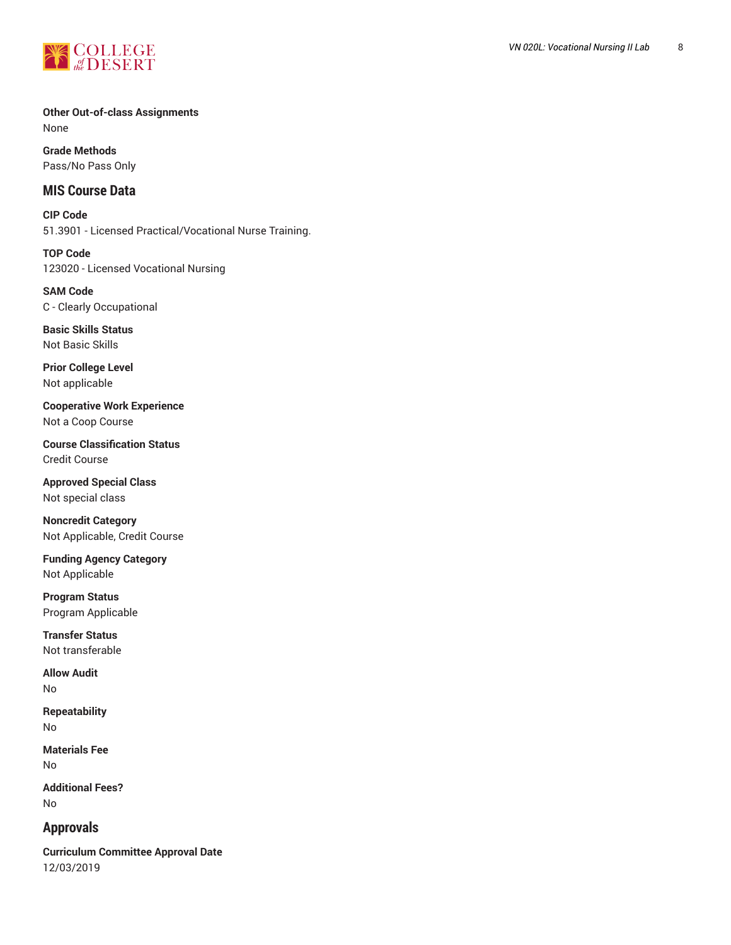

#### **Other Out-of-class Assignments** None

**Grade Methods** Pass/No Pass Only

# **MIS Course Data**

**CIP Code** 51.3901 - Licensed Practical/Vocational Nurse Training.

**TOP Code** 123020 - Licensed Vocational Nursing

**SAM Code** C - Clearly Occupational

**Basic Skills Status** Not Basic Skills

**Prior College Level** Not applicable

**Cooperative Work Experience** Not a Coop Course

**Course Classification Status** Credit Course

**Approved Special Class** Not special class

**Noncredit Category** Not Applicable, Credit Course

**Funding Agency Category** Not Applicable

**Program Status** Program Applicable

**Transfer Status** Not transferable

**Allow Audit** No

**Repeatability** No

**Materials Fee** No

**Additional Fees?** No

# **Approvals**

**Curriculum Committee Approval Date** 12/03/2019